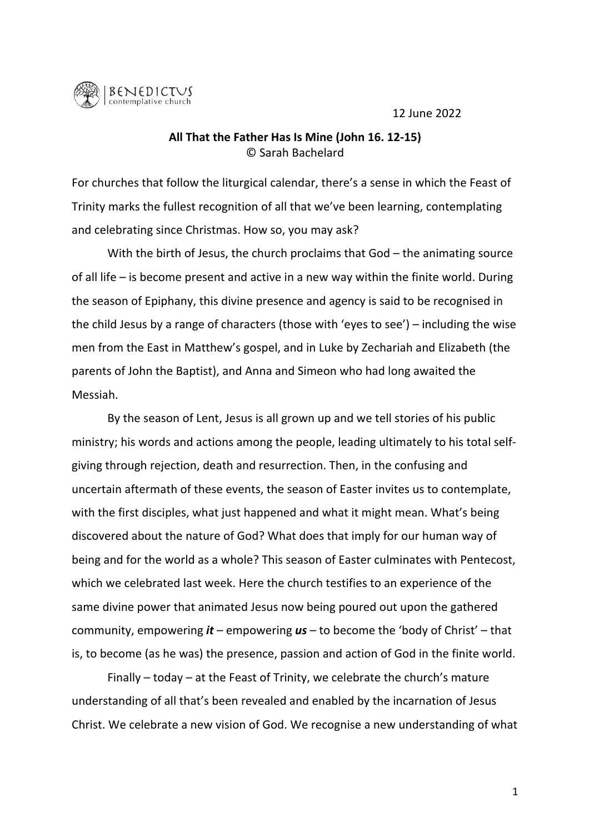12 June 2022



## All That the Father Has Is Mine (John 16. 12-15) © Sarah Bachelard

For churches that follow the liturgical calendar, there's a sense in which the Feast of Trinity marks the fullest recognition of all that we've been learning, contemplating and celebrating since Christmas. How so, you may ask?

With the birth of Jesus, the church proclaims that  $God$  – the animating source of all life – is become present and active in a new way within the finite world. During the season of Epiphany, this divine presence and agency is said to be recognised in the child Jesus by a range of characters (those with 'eyes to see') – including the wise men from the East in Matthew's gospel, and in Luke by Zechariah and Elizabeth (the parents of John the Baptist), and Anna and Simeon who had long awaited the Messiah.

By the season of Lent, Jesus is all grown up and we tell stories of his public ministry; his words and actions among the people, leading ultimately to his total selfgiving through rejection, death and resurrection. Then, in the confusing and uncertain aftermath of these events, the season of Easter invites us to contemplate, with the first disciples, what just happened and what it might mean. What's being discovered about the nature of God? What does that imply for our human way of being and for the world as a whole? This season of Easter culminates with Pentecost, which we celebrated last week. Here the church testifies to an experience of the same divine power that animated Jesus now being poured out upon the gathered community, empowering *it* – empowering *us* – to become the 'body of Christ' – that is, to become (as he was) the presence, passion and action of God in the finite world.

Finally – today – at the Feast of Trinity, we celebrate the church's mature understanding of all that's been revealed and enabled by the incarnation of Jesus Christ. We celebrate a new vision of God. We recognise a new understanding of what

1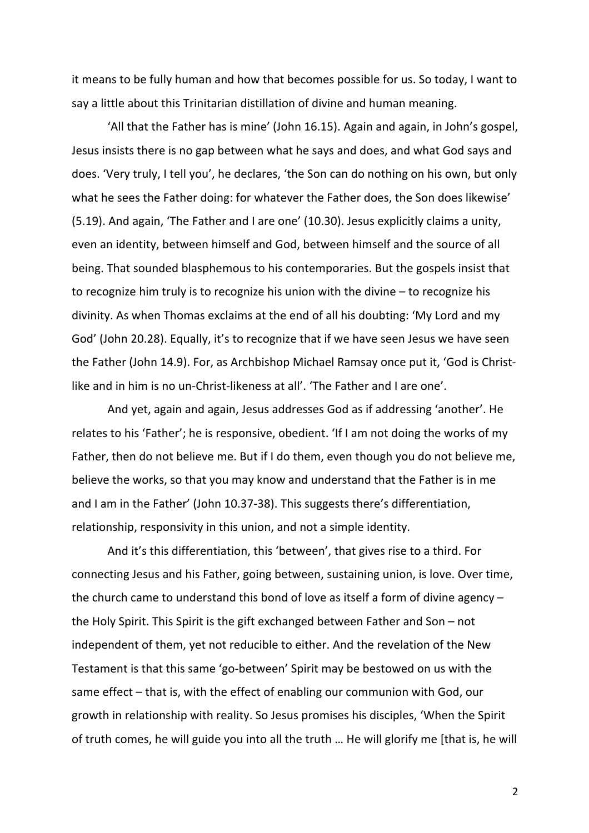it means to be fully human and how that becomes possible for us. So today, I want to say a little about this Trinitarian distillation of divine and human meaning.

'All that the Father has is mine' (John 16.15). Again and again, in John's gospel, Jesus insists there is no gap between what he says and does, and what God says and does. 'Very truly, I tell you', he declares, 'the Son can do nothing on his own, but only what he sees the Father doing: for whatever the Father does, the Son does likewise' (5.19). And again, 'The Father and I are one' (10.30). Jesus explicitly claims a unity, even an identity, between himself and God, between himself and the source of all being. That sounded blasphemous to his contemporaries. But the gospels insist that to recognize him truly is to recognize his union with the divine  $-$  to recognize his divinity. As when Thomas exclaims at the end of all his doubting: 'My Lord and my God' (John 20.28). Equally, it's to recognize that if we have seen Jesus we have seen the Father (John 14.9). For, as Archbishop Michael Ramsay once put it, 'God is Christlike and in him is no un-Christ-likeness at all'. 'The Father and I are one'.

And yet, again and again, Jesus addresses God as if addressing 'another'. He relates to his 'Father'; he is responsive, obedient. 'If I am not doing the works of my Father, then do not believe me. But if I do them, even though you do not believe me, believe the works, so that you may know and understand that the Father is in me and I am in the Father' (John 10.37-38). This suggests there's differentiation, relationship, responsivity in this union, and not a simple identity.

And it's this differentiation, this 'between', that gives rise to a third. For connecting Jesus and his Father, going between, sustaining union, is love. Over time, the church came to understand this bond of love as itself a form of divine agency  $$ the Holy Spirit. This Spirit is the gift exchanged between Father and Son  $-$  not independent of them, yet not reducible to either. And the revelation of the New Testament is that this same 'go-between' Spirit may be bestowed on us with the same effect  $-$  that is, with the effect of enabling our communion with God, our growth in relationship with reality. So Jesus promises his disciples, 'When the Spirit of truth comes, he will guide you into all the truth ... He will glorify me [that is, he will

2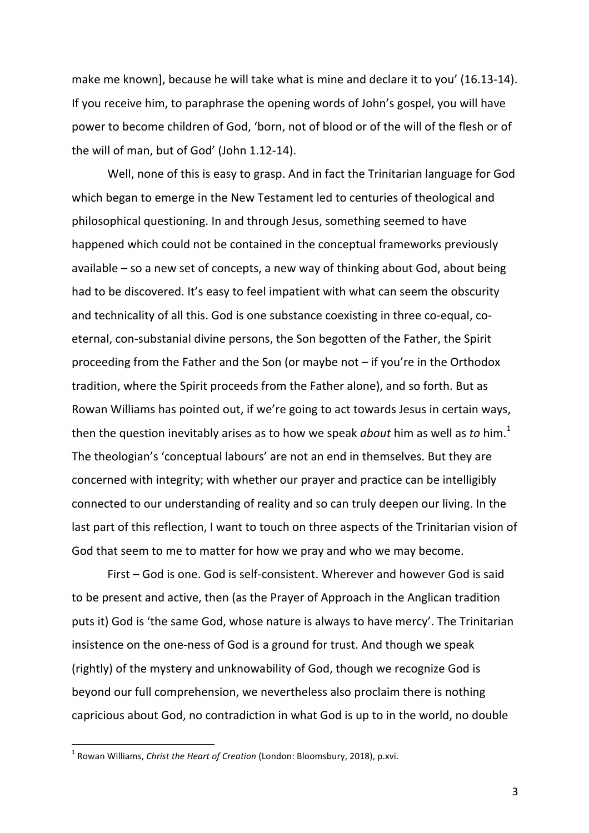make me known], because he will take what is mine and declare it to you' (16.13-14). If you receive him, to paraphrase the opening words of John's gospel, you will have power to become children of God, 'born, not of blood or of the will of the flesh or of the will of man, but of God' (John 1.12-14).

Well, none of this is easy to grasp. And in fact the Trinitarian language for God which began to emerge in the New Testament led to centuries of theological and philosophical questioning. In and through Jesus, something seemed to have happened which could not be contained in the conceptual frameworks previously available  $-$  so a new set of concepts, a new way of thinking about God, about being had to be discovered. It's easy to feel impatient with what can seem the obscurity and technicality of all this. God is one substance coexisting in three co-equal, coeternal, con-substanial divine persons, the Son begotten of the Father, the Spirit proceeding from the Father and the Son (or maybe not  $-$  if you're in the Orthodox tradition, where the Spirit proceeds from the Father alone), and so forth. But as Rowan Williams has pointed out, if we're going to act towards Jesus in certain ways, then the question inevitably arises as to how we speak *about* him as well as *to* him.<sup>1</sup> The theologian's 'conceptual labours' are not an end in themselves. But they are concerned with integrity; with whether our prayer and practice can be intelligibly connected to our understanding of reality and so can truly deepen our living. In the last part of this reflection, I want to touch on three aspects of the Trinitarian vision of God that seem to me to matter for how we pray and who we may become.

First – God is one. God is self-consistent. Wherever and however God is said to be present and active, then (as the Prayer of Approach in the Anglican tradition puts it) God is 'the same God, whose nature is always to have mercy'. The Trinitarian insistence on the one-ness of God is a ground for trust. And though we speak (rightly) of the mystery and unknowability of God, though we recognize God is beyond our full comprehension, we nevertheless also proclaim there is nothing capricious about God, no contradiction in what God is up to in the world, no double

<sup>&</sup>lt;sup>1</sup> Rowan Williams, *Christ the Heart of Creation* (London: Bloomsbury, 2018), p.xvi.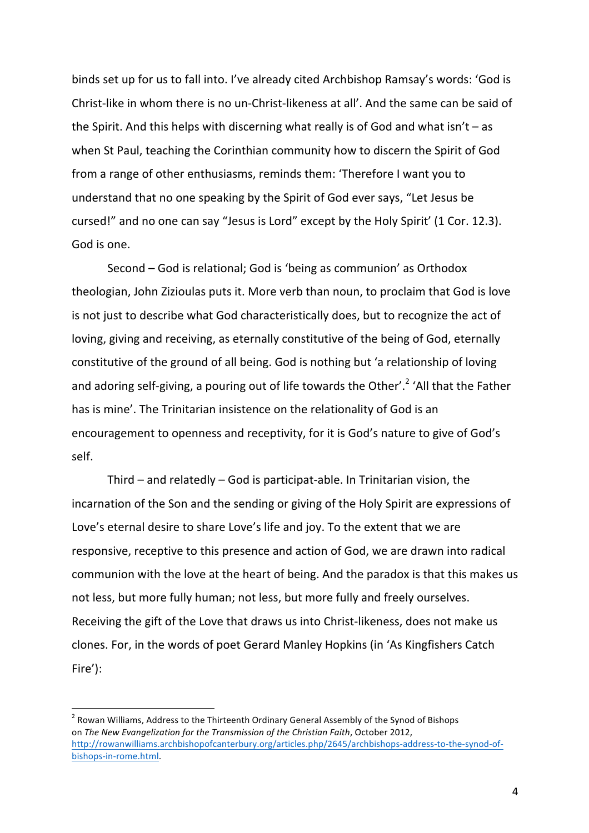binds set up for us to fall into. I've already cited Archbishop Ramsay's words: 'God is Christ-like in whom there is no un-Christ-likeness at all'. And the same can be said of the Spirit. And this helps with discerning what really is of God and what  $\sin't - as$ when St Paul, teaching the Corinthian community how to discern the Spirit of God from a range of other enthusiasms, reminds them: 'Therefore I want you to understand that no one speaking by the Spirit of God ever says, "Let Jesus be cursed!" and no one can say "Jesus is Lord" except by the Holy Spirit' (1 Cor. 12.3). God is one.

Second – God is relational; God is 'being as communion' as Orthodox theologian, John Zizioulas puts it. More verb than noun, to proclaim that God is love is not just to describe what God characteristically does, but to recognize the act of loving, giving and receiving, as eternally constitutive of the being of God, eternally constitutive of the ground of all being. God is nothing but 'a relationship of loving and adoring self-giving, a pouring out of life towards the Other'.<sup>2</sup> 'All that the Father has is mine'. The Trinitarian insistence on the relationality of God is an encouragement to openness and receptivity, for it is God's nature to give of God's self. 

Third – and relatedly – God is participat-able. In Trinitarian vision, the incarnation of the Son and the sending or giving of the Holy Spirit are expressions of Love's eternal desire to share Love's life and joy. To the extent that we are responsive, receptive to this presence and action of God, we are drawn into radical communion with the love at the heart of being. And the paradox is that this makes us not less, but more fully human; not less, but more fully and freely ourselves. Receiving the gift of the Love that draws us into Christ-likeness, does not make us clones. For, in the words of poet Gerard Manley Hopkins (in 'As Kingfishers Catch Fire'):

 $2$  Rowan Williams, Address to the Thirteenth Ordinary General Assembly of the Synod of Bishops on *The New Evangelization for the Transmission of the Christian Faith*, October 2012, http://rowanwilliams.archbishopofcanterbury.org/articles.php/2645/archbishops-address-to-the-synod-ofbishops-in-rome.html.